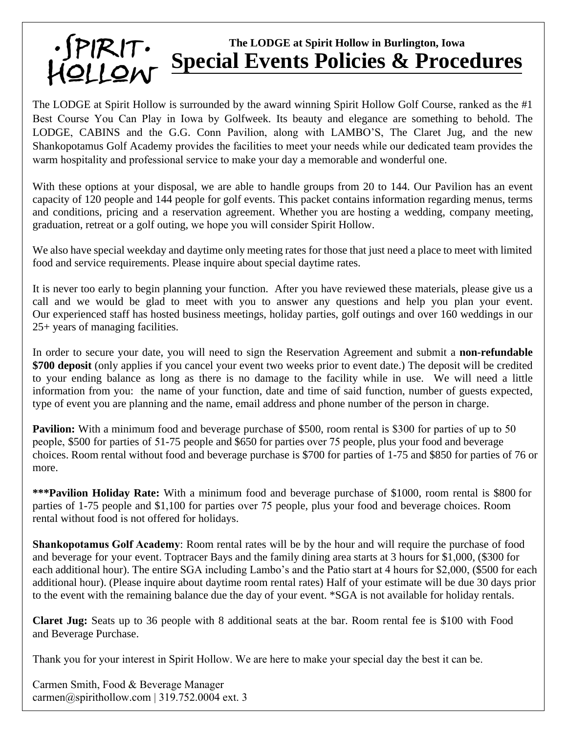## **The LODGE at Spirit Hollow in Burlington, Iowa Special Events Policies & Procedures**

The LODGE at Spirit Hollow is surrounded by the award winning Spirit Hollow Golf Course, ranked as the #1 Best Course You Can Play in Iowa by Golfweek. Its beauty and elegance are something to behold. The LODGE, CABINS and the G.G. Conn Pavilion, along with LAMBO'S, The Claret Jug, and the new Shankopotamus Golf Academy provides the facilities to meet your needs while our dedicated team provides the warm hospitality and professional service to make your day a memorable and wonderful one.

With these options at your disposal, we are able to handle groups from 20 to 144. Our Pavilion has an event capacity of 120 people and 144 people for golf events. This packet contains information regarding menus, terms and conditions, pricing and a reservation agreement. Whether you are hosting a wedding, company meeting, graduation, retreat or a golf outing, we hope you will consider Spirit Hollow.

We also have special weekday and daytime only meeting rates for those that just need a place to meet with limited food and service requirements. Please inquire about special daytime rates.

It is never too early to begin planning your function. After you have reviewed these materials, please give us a call and we would be glad to meet with you to answer any questions and help you plan your event. Our experienced staff has hosted business meetings, holiday parties, golf outings and over 160 weddings in our 25+ years of managing facilities.

In order to secure your date, you will need to sign the Reservation Agreement and submit a **non-refundable \$700 deposit** (only applies if you cancel your event two weeks prior to event date.) The deposit will be credited to your ending balance as long as there is no damage to the facility while in use. We will need a little information from you: the name of your function, date and time of said function, number of guests expected, type of event you are planning and the name, email address and phone number of the person in charge.

**Pavilion:** With a minimum food and beverage purchase of \$500, room rental is \$300 for parties of up to 50 people, \$500 for parties of 51-75 people and \$650 for parties over 75 people, plus your food and beverage choices. Room rental without food and beverage purchase is \$700 for parties of 1-75 and \$850 for parties of 76 or more.

**\*\*\*Pavilion Holiday Rate:** With a minimum food and beverage purchase of \$1000, room rental is \$800 for parties of 1-75 people and \$1,100 for parties over 75 people, plus your food and beverage choices. Room rental without food is not offered for holidays.

**Shankopotamus Golf Academy**: Room rental rates will be by the hour and will require the purchase of food and beverage for your event. Toptracer Bays and the family dining area starts at 3 hours for \$1,000, (\$300 for each additional hour). The entire SGA including Lambo's and the Patio start at 4 hours for \$2,000, (\$500 for each additional hour). (Please inquire about daytime room rental rates) Half of your estimate will be due 30 days prior to the event with the remaining balance due the day of your event. \*SGA is not available for holiday rentals.

**Claret Jug:** Seats up to 36 people with 8 additional seats at the bar. Room rental fee is \$100 with Food and Beverage Purchase.

Thank you for your interest in Spirit Hollow. We are here to make your special day the best it can be.

Carmen Smith, Food & Beverage Manager carmen@spirithollow.com | 319.752.0004 ext. 3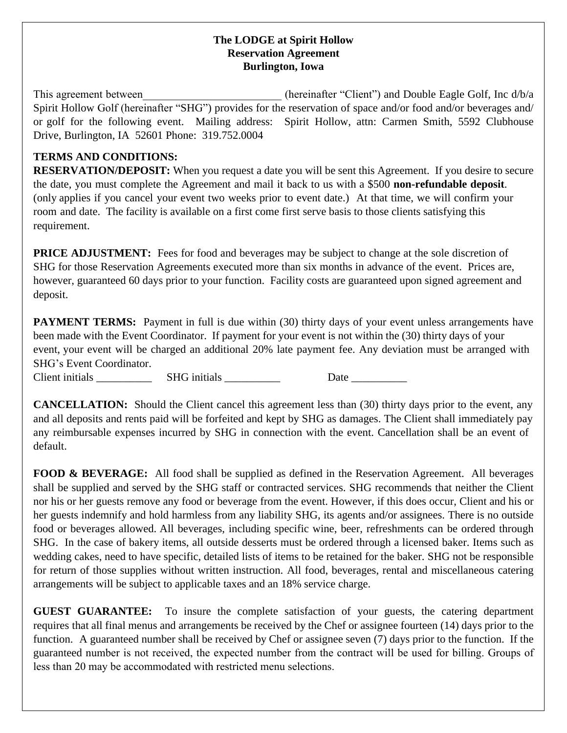## **The LODGE at Spirit Hollow Reservation Agreement Burlington, Iowa**

This agreement between  $(heren$  (hereinafter "Client") and Double Eagle Golf, Inc  $d/b/a$ Spirit Hollow Golf (hereinafter "SHG") provides for the reservation of space and/or food and/or beverages and/ or golf for the following event. Mailing address: Spirit Hollow, attn: Carmen Smith, 5592 Clubhouse Drive, Burlington, IA 52601 Phone: 319.752.0004

## **TERMS AND CONDITIONS:**

**RESERVATION/DEPOSIT:** When you request a date you will be sent this Agreement. If you desire to secure the date, you must complete the Agreement and mail it back to us with a \$500 **non-refundable deposit**. (only applies if you cancel your event two weeks prior to event date.) At that time, we will confirm your room and date. The facility is available on a first come first serve basis to those clients satisfying this requirement.

**PRICE ADJUSTMENT:** Fees for food and beverages may be subject to change at the sole discretion of SHG for those Reservation Agreements executed more than six months in advance of the event. Prices are, however, guaranteed 60 days prior to your function. Facility costs are guaranteed upon signed agreement and deposit.

**PAYMENT TERMS:** Payment in full is due within (30) thirty days of your event unless arrangements have been made with the Event Coordinator. If payment for your event is not within the (30) thirty days of your event, your event will be charged an additional 20% late payment fee. Any deviation must be arranged with SHG's Event Coordinator.

Client initials \_\_\_\_\_\_\_\_\_\_\_\_\_\_ SHG initials \_\_\_\_\_\_\_\_\_\_\_\_\_\_\_\_ Date \_\_\_\_\_\_\_\_\_\_\_\_\_\_

**CANCELLATION:** Should the Client cancel this agreement less than (30) thirty days prior to the event, any and all deposits and rents paid will be forfeited and kept by SHG as damages. The Client shall immediately pay any reimbursable expenses incurred by SHG in connection with the event. Cancellation shall be an event of default.

**FOOD & BEVERAGE:** All food shall be supplied as defined in the Reservation Agreement. All beverages shall be supplied and served by the SHG staff or contracted services. SHG recommends that neither the Client nor his or her guests remove any food or beverage from the event. However, if this does occur, Client and his or her guests indemnify and hold harmless from any liability SHG, its agents and/or assignees. There is no outside food or beverages allowed. All beverages, including specific wine, beer, refreshments can be ordered through SHG. In the case of bakery items, all outside desserts must be ordered through a licensed baker. Items such as wedding cakes, need to have specific, detailed lists of items to be retained for the baker. SHG not be responsible for return of those supplies without written instruction. All food, beverages, rental and miscellaneous catering arrangements will be subject to applicable taxes and an 18% service charge.

**GUEST GUARANTEE:** To insure the complete satisfaction of your guests, the catering department requires that all final menus and arrangements be received by the Chef or assignee fourteen (14) days prior to the function. A guaranteed number shall be received by Chef or assignee seven (7) days prior to the function. If the guaranteed number is not received, the expected number from the contract will be used for billing. Groups of less than 20 may be accommodated with restricted menu selections.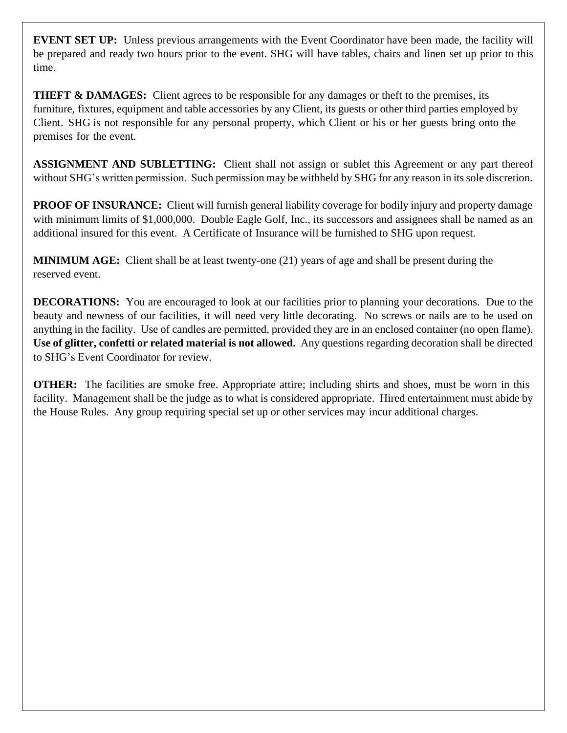**EVENT SET UP:** Unless previous arrangements with the Event Coordinator have been made, the facility will be prepared and ready two hours prior to the event. SHG will have tables, chairs and linen set up prior to this time.

**THEFT & DAMAGES:** Client agrees to be responsible for any damages or theft to the premises, its furniture, fixtures, equipment and table accessories by any Client, its guests or other third parties employed by Client. SHG is not responsible for any personal property, which Client or his or her guests bring onto the premises for the event.

**ASSIGNMENT AND SUBLETTING:** Client shall not assign or sublet this Agreement or any part thereof without SHG's written permission. Such permission may be withheld by SHG for any reason in its sole discretion.

**PROOF OF INSURANCE:** Client will furnish general liability coverage for bodily injury and property damage with minimum limits of \$1,000,000. Double Eagle Golf, Inc., its successors and assignees shall be named as an additional insured for this event. A Certificate of Insurance will be furnished to SHG upon request.

**MINIMUM AGE:** Client shall be at least twenty-one (21) years of age and shall be present during the reserved event.

**DECORATIONS:** You are encouraged to look at our facilities prior to planning your decorations. Due to the beauty and newness of our facilities, it will need very little decorating. No screws or nails are to be used on anything in the facility. Use of candles are permitted, provided they are in an enclosed container (no open flame). **Use of glitter, confetti or related material is not allowed.** Any questions regarding decoration shall be directed to SHG's Event Coordinator for review.

**OTHER:** The facilities are smoke free. Appropriate attire; including shirts and shoes, must be worn in this facility. Management shall be the judge as to what is considered appropriate. Hired entertainment must abide by the House Rules. Any group requiring special set up or other services may incur additional charges.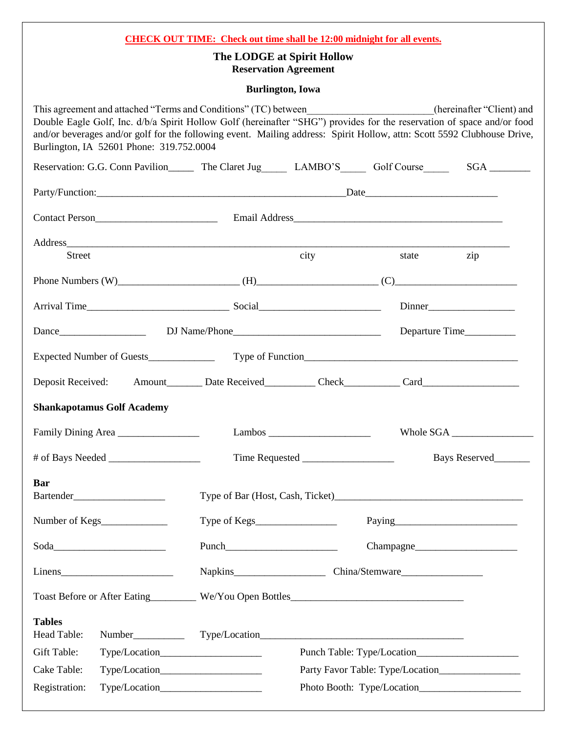| <b>CHECK OUT TIME:</b> Check out time shall be 12:00 midnight for all events.<br>The LODGE at Spirit Hollow<br><b>Reservation Agreement</b>                                                                                                                                                                                                                                                                     |        |                        |                |               |  |  |  |
|-----------------------------------------------------------------------------------------------------------------------------------------------------------------------------------------------------------------------------------------------------------------------------------------------------------------------------------------------------------------------------------------------------------------|--------|------------------------|----------------|---------------|--|--|--|
| <b>Burlington</b> , Iowa                                                                                                                                                                                                                                                                                                                                                                                        |        |                        |                |               |  |  |  |
| This agreement and attached "Terms and Conditions" (TC) between______________________(hereinafter "Client) and<br>Double Eagle Golf, Inc. d/b/a Spirit Hollow Golf (hereinafter "SHG") provides for the reservation of space and/or food<br>and/or beverages and/or golf for the following event. Mailing address: Spirit Hollow, attn: Scott 5592 Clubhouse Drive,<br>Burlington, IA 52601 Phone: 319.752.0004 |        |                        |                |               |  |  |  |
| Reservation: G.G. Conn Pavilion________ The Claret Jug_________ LAMBO'S_________ Golf Course____________ SGA _________                                                                                                                                                                                                                                                                                          |        |                        |                |               |  |  |  |
|                                                                                                                                                                                                                                                                                                                                                                                                                 |        |                        |                |               |  |  |  |
|                                                                                                                                                                                                                                                                                                                                                                                                                 |        |                        |                |               |  |  |  |
|                                                                                                                                                                                                                                                                                                                                                                                                                 |        |                        |                |               |  |  |  |
| <b>Street</b>                                                                                                                                                                                                                                                                                                                                                                                                   |        | city                   | state          | zip           |  |  |  |
| Phone Numbers $(W)$ (H) $(H)$ (H) $(C)$ (C)                                                                                                                                                                                                                                                                                                                                                                     |        |                        |                |               |  |  |  |
|                                                                                                                                                                                                                                                                                                                                                                                                                 |        |                        |                | Dinner        |  |  |  |
|                                                                                                                                                                                                                                                                                                                                                                                                                 |        |                        | Departure Time |               |  |  |  |
|                                                                                                                                                                                                                                                                                                                                                                                                                 |        |                        |                |               |  |  |  |
| Deposit Received: Amount________ Date Received__________ Check__________ Card_______________________                                                                                                                                                                                                                                                                                                            |        |                        |                |               |  |  |  |
| <b>Shankapotamus Golf Academy</b>                                                                                                                                                                                                                                                                                                                                                                               |        |                        |                |               |  |  |  |
| Family Dining Area                                                                                                                                                                                                                                                                                                                                                                                              |        |                        | Whole SGA      |               |  |  |  |
|                                                                                                                                                                                                                                                                                                                                                                                                                 |        |                        |                | Bays Reserved |  |  |  |
| <b>Bar</b>                                                                                                                                                                                                                                                                                                                                                                                                      |        |                        |                |               |  |  |  |
|                                                                                                                                                                                                                                                                                                                                                                                                                 | Paying |                        |                |               |  |  |  |
|                                                                                                                                                                                                                                                                                                                                                                                                                 | Punch  | Change                 |                |               |  |  |  |
|                                                                                                                                                                                                                                                                                                                                                                                                                 |        | Napkins China/Stemware |                |               |  |  |  |
|                                                                                                                                                                                                                                                                                                                                                                                                                 |        |                        |                |               |  |  |  |
| <b>Tables</b><br>Head Table:                                                                                                                                                                                                                                                                                                                                                                                    |        |                        |                |               |  |  |  |
| Gift Table:                                                                                                                                                                                                                                                                                                                                                                                                     |        |                        |                |               |  |  |  |
| Cake Table:                                                                                                                                                                                                                                                                                                                                                                                                     |        |                        |                |               |  |  |  |
| Registration:                                                                                                                                                                                                                                                                                                                                                                                                   |        |                        |                |               |  |  |  |